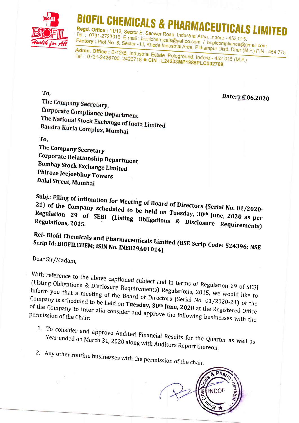

## OFIL CHEMICALS & PHARMACEUTIC

Regd. Office: 11/12, Sector-E, Sanwer Road, Industrial Area, Indore - 452 015, Tel.: 0731-2723016 E-mail: biofilchemicals@yahoo.com / bcplcompliance@gmail.com Factory: Plot No. 8, Sector - III, Kheda Industrial Area, Pithampur Distt. Dhar (M.P.) PIN - 454 775

Admn. Office: B-12/B, Industrial Estate, Pologround, Indore - 452 015 (M.P.) Tel: 0731-2426700, 2426718 CIN: L24233MP1985PLC002709

Date: 5.06.2020

The Company Secretary, **Corporate Compliance Department** The National Stock Exchange of India Limited Bandra Kurla Complex, Mumbai

## To.

To.

The Company Secretary **Corporate Relationship Department Bombay Stock Exchange Limited** Phiroze Jeejeebhoy Towers Dalal Street, Mumbai

Subj.: Filing of intimation for Meeting of Board of Directors (Serial No. 01/2020-21) of the Company scheduled to be held on Tuesday, 30th June, 2020 as per Regulation 29 of SEBI (Listing Obligations & Disclosure Requirements) Regulations, 2015.

Ref- Biofil Chemicals and Pharmaceuticals Limited (BSE Scrip Code: 524396; NSE Scrip Id: BIOFILCHEM; ISIN No. INE829A01014)

Dear Sir/Madam,

With reference to the above captioned subject and in terms of Regulation 29 of SEBI (Listing Obligations & Disclosure Requirements) Regulations, 2015, we would like to inform you that a meeting of the Board of Directors (Serial No. 01/2020-21) of the Company is scheduled to be held on Tuesday, 30th June, 2020 at the Registered Office of the Company to inter alia consider and approve the following businesses with the

- 1. To consider and approve Audited Financial Results for the Quarter as well as Year ended on March 31, 2020 along with Auditors Report thereon.
- 2. Any other routine businesses with the permission of the chair.